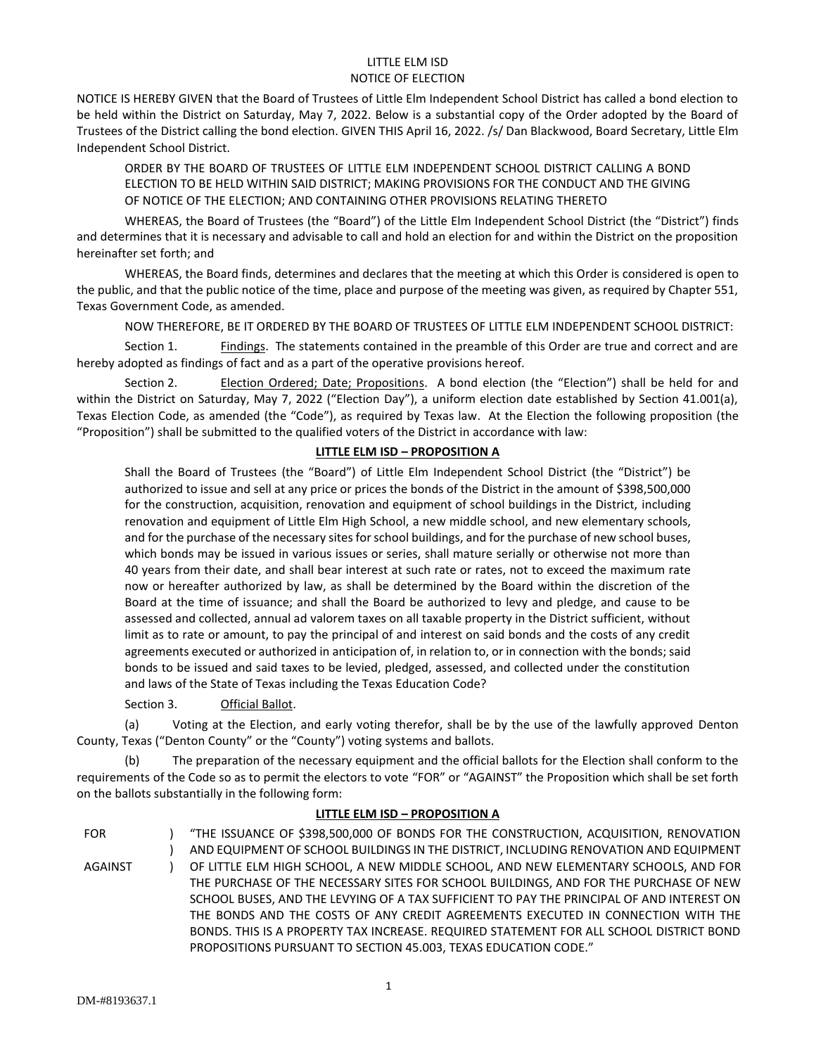#### LITTLE ELM ISD NOTICE OF ELECTION

NOTICE IS HEREBY GIVEN that the Board of Trustees of Little Elm Independent School District has called a bond election to be held within the District on Saturday, May 7, 2022. Below is a substantial copy of the Order adopted by the Board of Trustees of the District calling the bond election. GIVEN THIS April 16, 2022. /s/ Dan Blackwood, Board Secretary, Little Elm Independent School District.

ORDER BY THE BOARD OF TRUSTEES OF LITTLE ELM INDEPENDENT SCHOOL DISTRICT CALLING A BOND ELECTION TO BE HELD WITHIN SAID DISTRICT; MAKING PROVISIONS FOR THE CONDUCT AND THE GIVING OF NOTICE OF THE ELECTION; AND CONTAINING OTHER PROVISIONS RELATING THERETO

WHEREAS, the Board of Trustees (the "Board") of the Little Elm Independent School District (the "District") finds and determines that it is necessary and advisable to call and hold an election for and within the District on the proposition hereinafter set forth; and

WHEREAS, the Board finds, determines and declares that the meeting at which this Order is considered is open to the public, and that the public notice of the time, place and purpose of the meeting was given, as required by Chapter 551, Texas Government Code, as amended.

NOW THEREFORE, BE IT ORDERED BY THE BOARD OF TRUSTEES OF LITTLE ELM INDEPENDENT SCHOOL DISTRICT:

Section 1. Findings. The statements contained in the preamble of this Order are true and correct and are hereby adopted as findings of fact and as a part of the operative provisions hereof.

Section 2. Election Ordered; Date; Propositions. A bond election (the "Election") shall be held for and within the District on Saturday, May 7, 2022 ("Election Day"), a uniform election date established by Section 41.001(a), Texas Election Code, as amended (the "Code"), as required by Texas law. At the Election the following proposition (the "Proposition") shall be submitted to the qualified voters of the District in accordance with law:

# **LITTLE ELM ISD – PROPOSITION A**

Shall the Board of Trustees (the "Board") of Little Elm Independent School District (the "District") be authorized to issue and sell at any price or prices the bonds of the District in the amount of \$398,500,000 for the construction, acquisition, renovation and equipment of school buildings in the District, including renovation and equipment of Little Elm High School, a new middle school, and new elementary schools, and for the purchase of the necessary sites for school buildings, and for the purchase of new school buses, which bonds may be issued in various issues or series, shall mature serially or otherwise not more than 40 years from their date, and shall bear interest at such rate or rates, not to exceed the maximum rate now or hereafter authorized by law, as shall be determined by the Board within the discretion of the Board at the time of issuance; and shall the Board be authorized to levy and pledge, and cause to be assessed and collected, annual ad valorem taxes on all taxable property in the District sufficient, without limit as to rate or amount, to pay the principal of and interest on said bonds and the costs of any credit agreements executed or authorized in anticipation of, in relation to, or in connection with the bonds; said bonds to be issued and said taxes to be levied, pledged, assessed, and collected under the constitution and laws of the State of Texas including the Texas Education Code?

#### Section 3. Official Ballot.

(a) Voting at the Election, and early voting therefor, shall be by the use of the lawfully approved Denton County, Texas ("Denton County" or the "County") voting systems and ballots.

(b) The preparation of the necessary equipment and the official ballots for the Election shall conform to the requirements of the Code so as to permit the electors to vote "FOR" or "AGAINST" the Proposition which shall be set forth on the ballots substantially in the following form:

#### **LITTLE ELM ISD – PROPOSITION A**

FOR AGAINST  $\lambda$  $\overline{)}$  $\lambda$ "THE ISSUANCE OF \$398,500,000 OF BONDS FOR THE CONSTRUCTION, ACQUISITION, RENOVATION AND EQUIPMENT OF SCHOOL BUILDINGS IN THE DISTRICT, INCLUDING RENOVATION AND EQUIPMENT OF LITTLE ELM HIGH SCHOOL, A NEW MIDDLE SCHOOL, AND NEW ELEMENTARY SCHOOLS, AND FOR THE PURCHASE OF THE NECESSARY SITES FOR SCHOOL BUILDINGS, AND FOR THE PURCHASE OF NEW SCHOOL BUSES, AND THE LEVYING OF A TAX SUFFICIENT TO PAY THE PRINCIPAL OF AND INTEREST ON THE BONDS AND THE COSTS OF ANY CREDIT AGREEMENTS EXECUTED IN CONNECTION WITH THE BONDS. THIS IS A PROPERTY TAX INCREASE. REQUIRED STATEMENT FOR ALL SCHOOL DISTRICT BOND PROPOSITIONS PURSUANT TO SECTION 45.003, TEXAS EDUCATION CODE."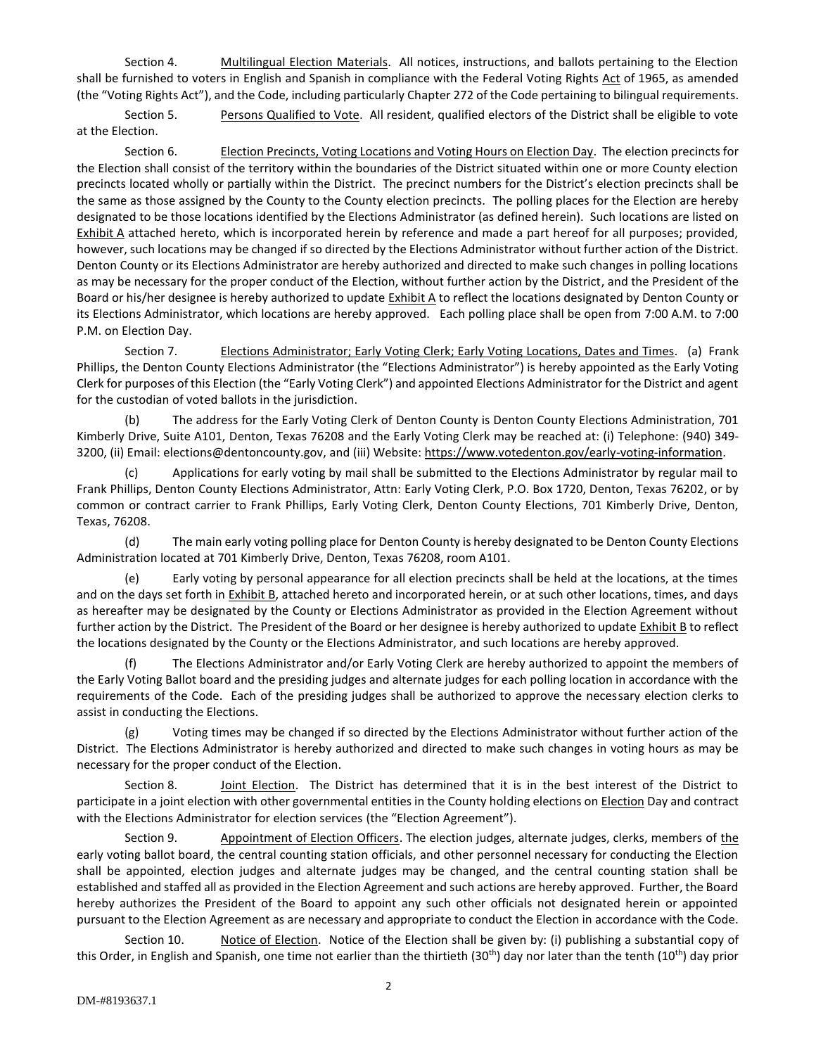Section 4. Multilingual Election Materials. All notices, instructions, and ballots pertaining to the Election shall be furnished to voters in English and Spanish in compliance with the Federal Voting Rights Act of 1965, as amended (the "Voting Rights Act"), and the Code, including particularly Chapter 272 of the Code pertaining to bilingual requirements.

Section 5. Persons Qualified to Vote. All resident, qualified electors of the District shall be eligible to vote at the Election.

Section 6. **Election Precincts, Voting Locations and Voting Hours on Election Day**. The election precincts for the Election shall consist of the territory within the boundaries of the District situated within one or more County election precincts located wholly or partially within the District. The precinct numbers for the District's election precincts shall be the same as those assigned by the County to the County election precincts. The polling places for the Election are hereby designated to be those locations identified by the Elections Administrator (as defined herein). Such locations are listed on Exhibit A attached hereto, which is incorporated herein by reference and made a part hereof for all purposes; provided, however, such locations may be changed if so directed by the Elections Administrator without further action of the District. Denton County or its Elections Administrator are hereby authorized and directed to make such changes in polling locations as may be necessary for the proper conduct of the Election, without further action by the District, and the President of the Board or his/her designee is hereby authorized to update Exhibit A to reflect the locations designated by Denton County or its Elections Administrator, which locations are hereby approved. Each polling place shall be open from 7:00 A.M. to 7:00 P.M. on Election Day.

Section 7. **Elections Administrator; Early Voting Clerk; Early Voting Locations, Dates and Times.** (a) Frank Phillips, the Denton County Elections Administrator (the "Elections Administrator") is hereby appointed as the Early Voting Clerk for purposes of this Election (the "Early Voting Clerk") and appointed Elections Administrator for the District and agent for the custodian of voted ballots in the jurisdiction.

(b) The address for the Early Voting Clerk of Denton County is Denton County Elections Administration, 701 Kimberly Drive, Suite A101, Denton, Texas 76208 and the Early Voting Clerk may be reached at: (i) Telephone: (940) 349- 3200, (ii) Email: elections@dentoncounty.gov, and (iii) Website: https://www.votedenton.gov/early-voting-information.

(c) Applications for early voting by mail shall be submitted to the Elections Administrator by regular mail to Frank Phillips, Denton County Elections Administrator, Attn: Early Voting Clerk, P.O. Box 1720, Denton, Texas 76202, or by common or contract carrier to Frank Phillips, Early Voting Clerk, Denton County Elections, 701 Kimberly Drive, Denton, Texas, 76208.

(d) The main early voting polling place for Denton County is hereby designated to be Denton County Elections Administration located at 701 Kimberly Drive, Denton, Texas 76208, room A101.

(e) Early voting by personal appearance for all election precincts shall be held at the locations, at the times and on the days set forth in Exhibit B, attached hereto and incorporated herein, or at such other locations, times, and days as hereafter may be designated by the County or Elections Administrator as provided in the Election Agreement without further action by the District. The President of the Board or her designee is hereby authorized to update Exhibit B to reflect the locations designated by the County or the Elections Administrator, and such locations are hereby approved.

The Elections Administrator and/or Early Voting Clerk are hereby authorized to appoint the members of the Early Voting Ballot board and the presiding judges and alternate judges for each polling location in accordance with the requirements of the Code. Each of the presiding judges shall be authorized to approve the necessary election clerks to assist in conducting the Elections.

(g) Voting times may be changed if so directed by the Elections Administrator without further action of the District. The Elections Administrator is hereby authorized and directed to make such changes in voting hours as may be necessary for the proper conduct of the Election.

Section 8. Joint Election. The District has determined that it is in the best interest of the District to participate in a joint election with other governmental entities in the County holding elections on Election Day and contract with the Elections Administrator for election services (the "Election Agreement").

Section 9. Appointment of Election Officers. The election judges, alternate judges, clerks, members of the early voting ballot board, the central counting station officials, and other personnel necessary for conducting the Election shall be appointed, election judges and alternate judges may be changed, and the central counting station shall be established and staffed all as provided in the Election Agreement and such actions are hereby approved. Further, the Board hereby authorizes the President of the Board to appoint any such other officials not designated herein or appointed pursuant to the Election Agreement as are necessary and appropriate to conduct the Election in accordance with the Code.

Section 10. Notice of Election. Notice of the Election shall be given by: (i) publishing a substantial copy of this Order, in English and Spanish, one time not earlier than the thirtieth  $(30<sup>th</sup>)$  day nor later than the tenth  $(10<sup>th</sup>)$  day prior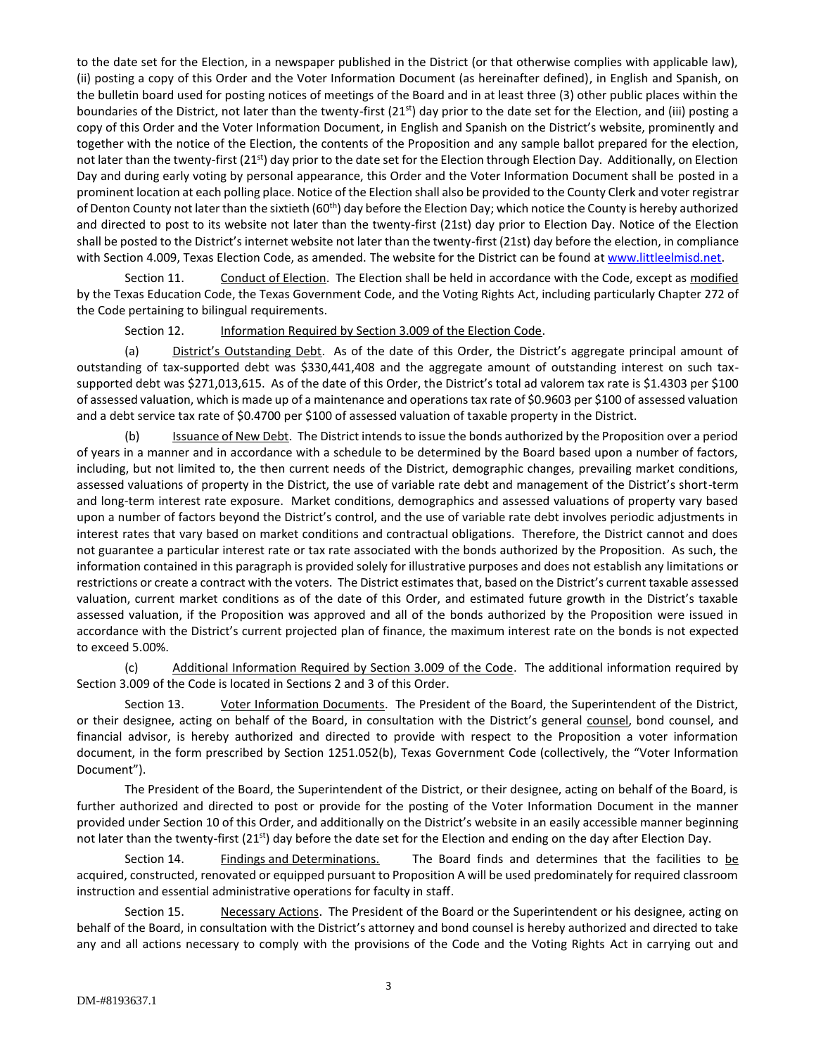to the date set for the Election, in a newspaper published in the District (or that otherwise complies with applicable law), (ii) posting a copy of this Order and the Voter Information Document (as hereinafter defined), in English and Spanish, on the bulletin board used for posting notices of meetings of the Board and in at least three (3) other public places within the boundaries of the District, not later than the twenty-first  $(21<sup>st</sup>)$  day prior to the date set for the Election, and (iii) posting a copy of this Order and the Voter Information Document, in English and Spanish on the District's website, prominently and together with the notice of the Election, the contents of the Proposition and any sample ballot prepared for the election, not later than the twenty-first (21<sup>st</sup>) day prior to the date set for the Election through Election Day. Additionally, on Election Day and during early voting by personal appearance, this Order and the Voter Information Document shall be posted in a prominent location at each polling place. Notice of the Election shall also be provided to the County Clerk and voter registrar of Denton County not later than the sixtieth (60<sup>th</sup>) day before the Election Day; which notice the County is hereby authorized and directed to post to its website not later than the twenty-first (21st) day prior to Election Day. Notice of the Election shall be posted to the District's internet website not later than the twenty-first (21st) day before the election, in compliance with Section 4.009, Texas Election Code, as amended. The website for the District can be found at www.littleelmisd.net.

Section 11. Conduct of Election. The Election shall be held in accordance with the Code, except as modified by the Texas Education Code, the Texas Government Code, and the Voting Rights Act, including particularly Chapter 272 of the Code pertaining to bilingual requirements.

Section 12. **Information Required by Section 3.009 of the Election Code.** 

(a) District's Outstanding Debt. As of the date of this Order, the District's aggregate principal amount of outstanding of tax-supported debt was \$330,441,408 and the aggregate amount of outstanding interest on such taxsupported debt was \$271,013,615. As of the date of this Order, the District's total ad valorem tax rate is \$1.4303 per \$100 of assessed valuation, which is made up of a maintenance and operations tax rate of \$0.9603 per \$100 of assessed valuation and a debt service tax rate of \$0.4700 per \$100 of assessed valuation of taxable property in the District.

(b) Issuance of New Debt. The District intends to issue the bonds authorized by the Proposition over a period of years in a manner and in accordance with a schedule to be determined by the Board based upon a number of factors, including, but not limited to, the then current needs of the District, demographic changes, prevailing market conditions, assessed valuations of property in the District, the use of variable rate debt and management of the District's short-term and long-term interest rate exposure. Market conditions, demographics and assessed valuations of property vary based upon a number of factors beyond the District's control, and the use of variable rate debt involves periodic adjustments in interest rates that vary based on market conditions and contractual obligations. Therefore, the District cannot and does not guarantee a particular interest rate or tax rate associated with the bonds authorized by the Proposition. As such, the information contained in this paragraph is provided solely for illustrative purposes and does not establish any limitations or restrictions or create a contract with the voters. The District estimates that, based on the District's current taxable assessed valuation, current market conditions as of the date of this Order, and estimated future growth in the District's taxable assessed valuation, if the Proposition was approved and all of the bonds authorized by the Proposition were issued in accordance with the District's current projected plan of finance, the maximum interest rate on the bonds is not expected to exceed 5.00%.

(c) Additional Information Required by Section 3.009 of the Code. The additional information required by Section 3.009 of the Code is located in Sections 2 and 3 of this Order.

Section 13. Voter Information Documents. The President of the Board, the Superintendent of the District, or their designee, acting on behalf of the Board, in consultation with the District's general counsel, bond counsel, and financial advisor, is hereby authorized and directed to provide with respect to the Proposition a voter information document, in the form prescribed by Section 1251.052(b), Texas Government Code (collectively, the "Voter Information Document").

The President of the Board, the Superintendent of the District, or their designee, acting on behalf of the Board, is further authorized and directed to post or provide for the posting of the Voter Information Document in the manner provided under Section 10 of this Order, and additionally on the District's website in an easily accessible manner beginning not later than the twenty-first (21<sup>st</sup>) day before the date set for the Election and ending on the day after Election Day.

Section 14. Findings and Determinations. The Board finds and determines that the facilities to be acquired, constructed, renovated or equipped pursuant to Proposition A will be used predominately for required classroom instruction and essential administrative operations for faculty in staff.

Section 15. Necessary Actions. The President of the Board or the Superintendent or his designee, acting on behalf of the Board, in consultation with the District's attorney and bond counsel is hereby authorized and directed to take any and all actions necessary to comply with the provisions of the Code and the Voting Rights Act in carrying out and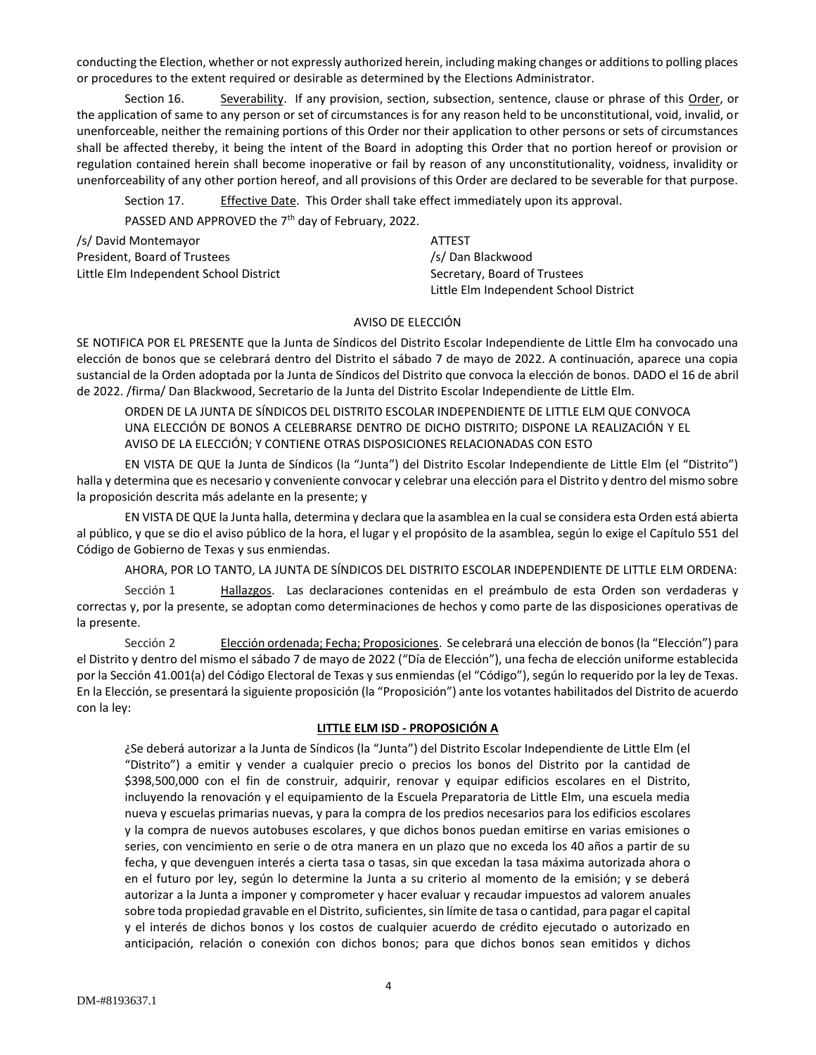conducting the Election, whether or not expressly authorized herein, including making changes or additions to polling places or procedures to the extent required or desirable as determined by the Elections Administrator.

Section 16. Severability. If any provision, section, subsection, sentence, clause or phrase of this Order, or the application of same to any person or set of circumstances is for any reason held to be unconstitutional, void, invalid, or unenforceable, neither the remaining portions of this Order nor their application to other persons or sets of circumstances shall be affected thereby, it being the intent of the Board in adopting this Order that no portion hereof or provision or regulation contained herein shall become inoperative or fail by reason of any unconstitutionality, voidness, invalidity or unenforceability of any other portion hereof, and all provisions of this Order are declared to be severable for that purpose.

Section 17. Effective Date. This Order shall take effect immediately upon its approval. PASSED AND APPROVED the 7<sup>th</sup> day of February, 2022.

| /s/ David Montemayor                   |  | ATTEST                                 |
|----------------------------------------|--|----------------------------------------|
| President, Board of Trustees           |  | /s/ Dan Blackwood                      |
| Little Elm Independent School District |  | Secretary, Board of Trustees           |
|                                        |  | Little Elm Independent School District |

# AVISO DE ELECCIÓN

SE NOTIFICA POR EL PRESENTE que la Junta de Síndicos del Distrito Escolar Independiente de Little Elm ha convocado una elección de bonos que se celebrará dentro del Distrito el sábado 7 de mayo de 2022. A continuación, aparece una copia sustancial de la Orden adoptada por la Junta de Síndicos del Distrito que convoca la elección de bonos. DADO el 16 de abril de 2022. /firma/ Dan Blackwood, Secretario de la Junta del Distrito Escolar Independiente de Little Elm.

ORDEN DE LA JUNTA DE SÍNDICOS DEL DISTRITO ESCOLAR INDEPENDIENTE DE LITTLE ELM QUE CONVOCA UNA ELECCIÓN DE BONOS A CELEBRARSE DENTRO DE DICHO DISTRITO; DISPONE LA REALIZACIÓN Y EL AVISO DE LA ELECCIÓN; Y CONTIENE OTRAS DISPOSICIONES RELACIONADAS CON ESTO

EN VISTA DE QUE la Junta de Síndicos (la "Junta") del Distrito Escolar Independiente de Little Elm (el "Distrito") halla y determina que es necesario y conveniente convocar y celebrar una elección para el Distrito y dentro del mismo sobre la proposición descrita más adelante en la presente; y

EN VISTA DE QUE la Junta halla, determina y declara que la asamblea en la cual se considera esta Orden está abierta al público, y que se dio el aviso público de la hora, el lugar y el propósito de la asamblea, según lo exige el Capítulo 551 del Código de Gobierno de Texas y sus enmiendas.

AHORA, POR LO TANTO, LA JUNTA DE SÍNDICOS DEL DISTRITO ESCOLAR INDEPENDIENTE DE LITTLE ELM ORDENA:

Sección 1 Hallazgos. Las declaraciones contenidas en el preámbulo de esta Orden son verdaderas y correctas y, por la presente, se adoptan como determinaciones de hechos y como parte de las disposiciones operativas de la presente.

Sección 2 Elección ordenada; Fecha; Proposiciones. Se celebrará una elección de bonos (la "Elección") para el Distrito y dentro del mismo el sábado 7 de mayo de 2022 ("Día de Elección"), una fecha de elección uniforme establecida por la Sección 41.001(a) del Código Electoral de Texas y sus enmiendas (el "Código"), según lo requerido por la ley de Texas. En la Elección, se presentará la siguiente proposición (la "Proposición") ante los votantes habilitados del Distrito de acuerdo con la ley:

#### **LITTLE ELM ISD - PROPOSICIÓN A**

¿Se deberá autorizar a la Junta de Síndicos (la "Junta") del Distrito Escolar Independiente de Little Elm (el "Distrito") a emitir y vender a cualquier precio o precios los bonos del Distrito por la cantidad de \$398,500,000 con el fin de construir, adquirir, renovar y equipar edificios escolares en el Distrito, incluyendo la renovación y el equipamiento de la Escuela Preparatoria de Little Elm, una escuela media nueva y escuelas primarias nuevas, y para la compra de los predios necesarios para los edificios escolares y la compra de nuevos autobuses escolares, y que dichos bonos puedan emitirse en varias emisiones o series, con vencimiento en serie o de otra manera en un plazo que no exceda los 40 años a partir de su fecha, y que devenguen interés a cierta tasa o tasas, sin que excedan la tasa máxima autorizada ahora o en el futuro por ley, según lo determine la Junta a su criterio al momento de la emisión; y se deberá autorizar a la Junta a imponer y comprometer y hacer evaluar y recaudar impuestos ad valorem anuales sobre toda propiedad gravable en el Distrito, suficientes, sin límite de tasa o cantidad, para pagar el capital y el interés de dichos bonos y los costos de cualquier acuerdo de crédito ejecutado o autorizado en anticipación, relación o conexión con dichos bonos; para que dichos bonos sean emitidos y dichos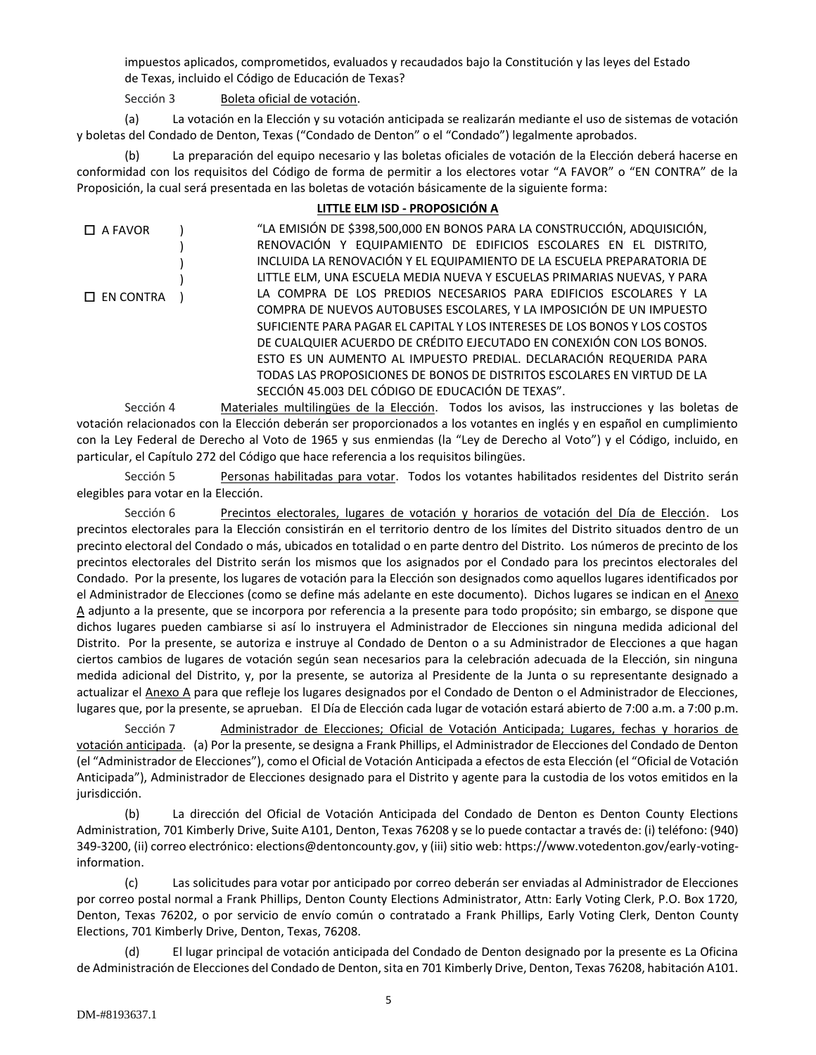impuestos aplicados, comprometidos, evaluados y recaudados bajo la Constitución y las leyes del Estado de Texas, incluido el Código de Educación de Texas?

Sección 3 Boleta oficial de votación.

(a) La votación en la Elección y su votación anticipada se realizarán mediante el uso de sistemas de votación y boletas del Condado de Denton, Texas ("Condado de Denton" o el "Condado") legalmente aprobados.

(b) La preparación del equipo necesario y las boletas oficiales de votación de la Elección deberá hacerse en conformidad con los requisitos del Código de forma de permitir a los electores votar "A FAVOR" o "EN CONTRA" de la Proposición, la cual será presentada en las boletas de votación básicamente de la siguiente forma:

## **LITTLE ELM ISD - PROPOSICIÓN A**

| $\Box$ A FAVOR   | "LA EMISIÓN DE \$398,500,000 EN BONOS PARA LA CONSTRUCCIÓN, ADQUISICIÓN,   |
|------------------|----------------------------------------------------------------------------|
|                  | RENOVACIÓN Y EQUIPAMIENTO DE EDIFICIOS ESCOLARES EN EL DISTRITO,           |
|                  | INCLUIDA LA RENOVACIÓN Y EL EQUIPAMIENTO DE LA ESCUELA PREPARATORIA DE     |
|                  | LITTLE ELM, UNA ESCUELA MEDIA NUEVA Y ESCUELAS PRIMARIAS NUEVAS, Y PARA    |
| $\Box$ EN CONTRA | LA COMPRA DE LOS PREDIOS NECESARIOS PARA EDIFICIOS ESCOLARES Y LA          |
|                  | COMPRA DE NUEVOS AUTOBUSES ESCOLARES, Y LA IMPOSICIÓN DE UN IMPUESTO       |
|                  | SUFICIENTE PARA PAGAR EL CAPITAL Y LOS INTERESES DE LOS BONOS Y LOS COSTOS |
|                  | DE CUALQUIER ACUERDO DE CRÉDITO EJECUTADO EN CONEXIÓN CON LOS BONOS.       |
|                  | ESTO ES UN AUMENTO AL IMPUESTO PREDIAL. DECLARACIÓN REQUERIDA PARA         |
|                  | TODAS LAS PROPOSICIONES DE BONOS DE DISTRITOS ESCOLARES EN VIRTUD DE LA    |
|                  | SECCIÓN 45.003 DEL CÓDIGO DE EDUCACIÓN DE TEXAS".                          |

Sección 4 Materiales multilingües de la Elección. Todos los avisos, las instrucciones y las boletas de votación relacionados con la Elección deberán ser proporcionados a los votantes en inglés y en español en cumplimiento con la Ley Federal de Derecho al Voto de 1965 y sus enmiendas (la "Ley de Derecho al Voto") y el Código, incluido, en particular, el Capítulo 272 del Código que hace referencia a los requisitos bilingües.

Sección 5 Personas habilitadas para votar. Todos los votantes habilitados residentes del Distrito serán elegibles para votar en la Elección.

Sección 6 Precintos electorales, lugares de votación y horarios de votación del Día de Elección. Los precintos electorales para la Elección consistirán en el territorio dentro de los límites del Distrito situados dentro de un precinto electoral del Condado o más, ubicados en totalidad o en parte dentro del Distrito. Los números de precinto de los precintos electorales del Distrito serán los mismos que los asignados por el Condado para los precintos electorales del Condado. Por la presente, los lugares de votación para la Elección son designados como aquellos lugares identificados por el Administrador de Elecciones (como se define más adelante en este documento). Dichos lugares se indican en el Anexo A adjunto a la presente, que se incorpora por referencia a la presente para todo propósito; sin embargo, se dispone que dichos lugares pueden cambiarse si así lo instruyera el Administrador de Elecciones sin ninguna medida adicional del Distrito. Por la presente, se autoriza e instruye al Condado de Denton o a su Administrador de Elecciones a que hagan ciertos cambios de lugares de votación según sean necesarios para la celebración adecuada de la Elección, sin ninguna medida adicional del Distrito, y, por la presente, se autoriza al Presidente de la Junta o su representante designado a actualizar el Anexo A para que refleje los lugares designados por el Condado de Denton o el Administrador de Elecciones, lugares que, por la presente, se aprueban. El Día de Elección cada lugar de votación estará abierto de 7:00 a.m. a 7:00 p.m.

Sección 7 **Administrador de Elecciones; Oficial de Votación Anticipada; Lugares, fechas y horarios de** votación anticipada. (a) Por la presente, se designa a Frank Phillips, el Administrador de Elecciones del Condado de Denton (el "Administrador de Elecciones"), como el Oficial de Votación Anticipada a efectos de esta Elección (el "Oficial de Votación Anticipada"), Administrador de Elecciones designado para el Distrito y agente para la custodia de los votos emitidos en la jurisdicción.

(b) La dirección del Oficial de Votación Anticipada del Condado de Denton es Denton County Elections Administration, 701 Kimberly Drive, Suite A101, Denton, Texas 76208 y se lo puede contactar a través de: (i) teléfono: (940) 349-3200, (ii) correo electrónico: elections@dentoncounty.gov, y (iii) sitio web: https://www.votedenton.gov/early-votinginformation.

(c) Las solicitudes para votar por anticipado por correo deberán ser enviadas al Administrador de Elecciones por correo postal normal a Frank Phillips, Denton County Elections Administrator, Attn: Early Voting Clerk, P.O. Box 1720, Denton, Texas 76202, o por servicio de envío común o contratado a Frank Phillips, Early Voting Clerk, Denton County Elections, 701 Kimberly Drive, Denton, Texas, 76208.

(d) El lugar principal de votación anticipada del Condado de Denton designado por la presente es La Oficina de Administración de Elecciones del Condado de Denton, sita en 701 Kimberly Drive, Denton, Texas 76208, habitación A101.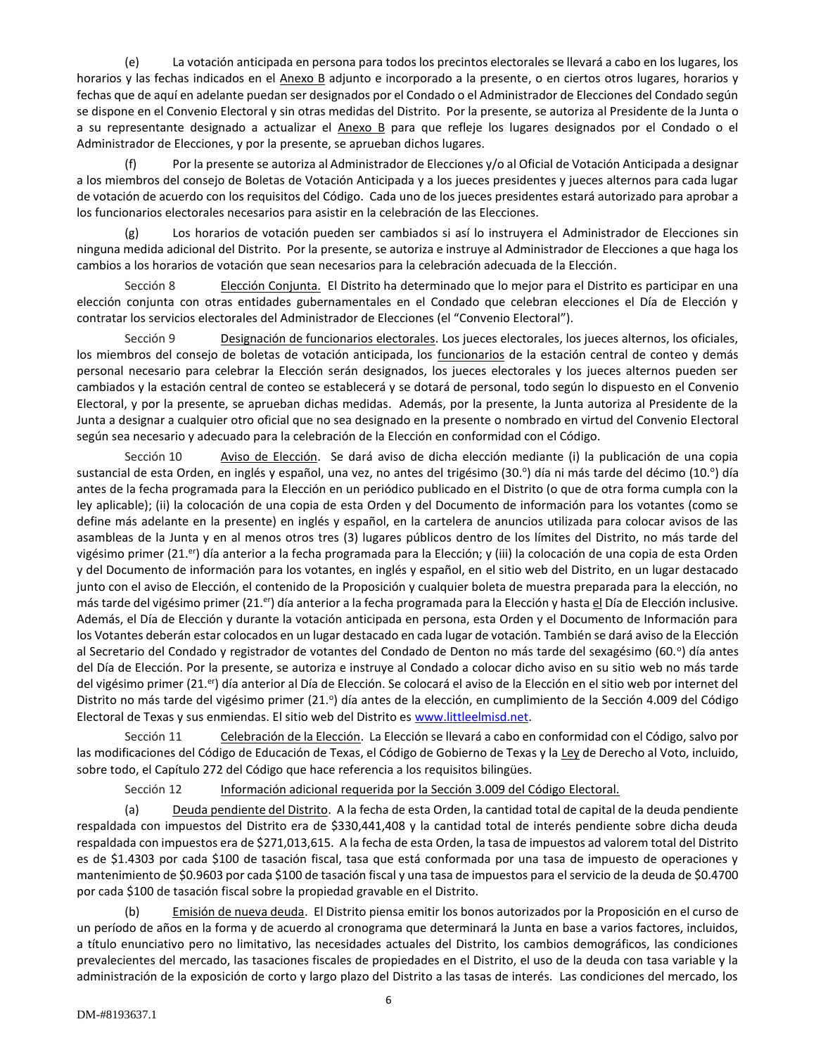(e) La votación anticipada en persona para todos los precintos electorales se llevará a cabo en los lugares, los horarios y las fechas indicados en el Anexo B adjunto e incorporado a la presente, o en ciertos otros lugares, horarios y fechas que de aquí en adelante puedan ser designados por el Condado o el Administrador de Elecciones del Condado según se dispone en el Convenio Electoral y sin otras medidas del Distrito. Por la presente, se autoriza al Presidente de la Junta o a su representante designado a actualizar el Anexo B para que refleje los lugares designados por el Condado o el Administrador de Elecciones, y por la presente, se aprueban dichos lugares.

Por la presente se autoriza al Administrador de Elecciones y/o al Oficial de Votación Anticipada a designar a los miembros del consejo de Boletas de Votación Anticipada y a los jueces presidentes y jueces alternos para cada lugar de votación de acuerdo con los requisitos del Código. Cada uno de los jueces presidentes estará autorizado para aprobar a los funcionarios electorales necesarios para asistir en la celebración de las Elecciones.

(g) Los horarios de votación pueden ser cambiados si así lo instruyera el Administrador de Elecciones sin ninguna medida adicional del Distrito. Por la presente, se autoriza e instruye al Administrador de Elecciones a que haga los cambios a los horarios de votación que sean necesarios para la celebración adecuada de la Elección.

Sección 8 Elección Conjunta. El Distrito ha determinado que lo mejor para el Distrito es participar en una elección conjunta con otras entidades gubernamentales en el Condado que celebran elecciones el Día de Elección y contratar los servicios electorales del Administrador de Elecciones (el "Convenio Electoral").

Sección 9 Designación de funcionarios electorales. Los jueces electorales, los jueces alternos, los oficiales, los miembros del consejo de boletas de votación anticipada, los funcionarios de la estación central de conteo y demás personal necesario para celebrar la Elección serán designados, los jueces electorales y los jueces alternos pueden ser cambiados y la estación central de conteo se establecerá y se dotará de personal, todo según lo dispuesto en el Convenio Electoral, y por la presente, se aprueban dichas medidas. Además, por la presente, la Junta autoriza al Presidente de la Junta a designar a cualquier otro oficial que no sea designado en la presente o nombrado en virtud del Convenio Electoral según sea necesario y adecuado para la celebración de la Elección en conformidad con el Código.

Sección 10 Aviso de Elección. Se dará aviso de dicha elección mediante (i) la publicación de una copia sustancial de esta Orden, en inglés y español, una vez, no antes del trigésimo (30.º) día ni más tarde del décimo (10.º) día antes de la fecha programada para la Elección en un periódico publicado en el Distrito (o que de otra forma cumpla con la ley aplicable); (ii) la colocación de una copia de esta Orden y del Documento de información para los votantes (como se define más adelante en la presente) en inglés y español, en la cartelera de anuncios utilizada para colocar avisos de las asambleas de la Junta y en al menos otros tres (3) lugares públicos dentro de los límites del Distrito, no más tarde del vigésimo primer (21.<sup>er</sup>) día anterior a la fecha programada para la Elección; y (iii) la colocación de una copia de esta Orden y del Documento de información para los votantes, en inglés y español, en el sitio web del Distrito, en un lugar destacado junto con el aviso de Elección, el contenido de la Proposición y cualquier boleta de muestra preparada para la elección, no más tarde del vigésimo primer (21.<sup>er</sup>) día anterior a la fecha programada para la Elección y hasta el Día de Elección inclusive. Además, el Día de Elección y durante la votación anticipada en persona, esta Orden y el Documento de Información para los Votantes deberán estar colocados en un lugar destacado en cada lugar de votación. También se dará aviso de la Elección al Secretario del Condado y registrador de votantes del Condado de Denton no más tarde del sexagésimo (60.º) día antes del Día de Elección. Por la presente, se autoriza e instruye al Condado a colocar dicho aviso en su sitio web no más tarde del vigésimo primer (21.<sup>er</sup>) día anterior al Día de Elección. Se colocará el aviso de la Elección en el sitio web por internet del Distrito no más tarde del vigésimo primer (21.º) día antes de la elección, en cumplimiento de la Sección 4.009 del Código Electoral de Texas y sus enmiendas. El sitio web del Distrito es www.littleelmisd.net.

Sección 11 Celebración de la Elección. La Elección se llevará a cabo en conformidad con el Código, salvo por las modificaciones del Código de Educación de Texas, el Código de Gobierno de Texas y la Ley de Derecho al Voto, incluido, sobre todo, el Capítulo 272 del Código que hace referencia a los requisitos bilingües.

Sección 12 Información adicional requerida por la Sección 3.009 del Código Electoral.

(a) Deuda pendiente del Distrito. A la fecha de esta Orden, la cantidad total de capital de la deuda pendiente respaldada con impuestos del Distrito era de \$330,441,408 y la cantidad total de interés pendiente sobre dicha deuda respaldada con impuestos era de \$271,013,615. A la fecha de esta Orden, la tasa de impuestos ad valorem total del Distrito es de \$1.4303 por cada \$100 de tasación fiscal, tasa que está conformada por una tasa de impuesto de operaciones y mantenimiento de \$0.9603 por cada \$100 de tasación fiscal y una tasa de impuestos para el servicio de la deuda de \$0.4700 por cada \$100 de tasación fiscal sobre la propiedad gravable en el Distrito.

(b) Emisión de nueva deuda. El Distrito piensa emitir los bonos autorizados por la Proposición en el curso de un período de años en la forma y de acuerdo al cronograma que determinará la Junta en base a varios factores, incluidos, a título enunciativo pero no limitativo, las necesidades actuales del Distrito, los cambios demográficos, las condiciones prevalecientes del mercado, las tasaciones fiscales de propiedades en el Distrito, el uso de la deuda con tasa variable y la administración de la exposición de corto y largo plazo del Distrito a las tasas de interés. Las condiciones del mercado, los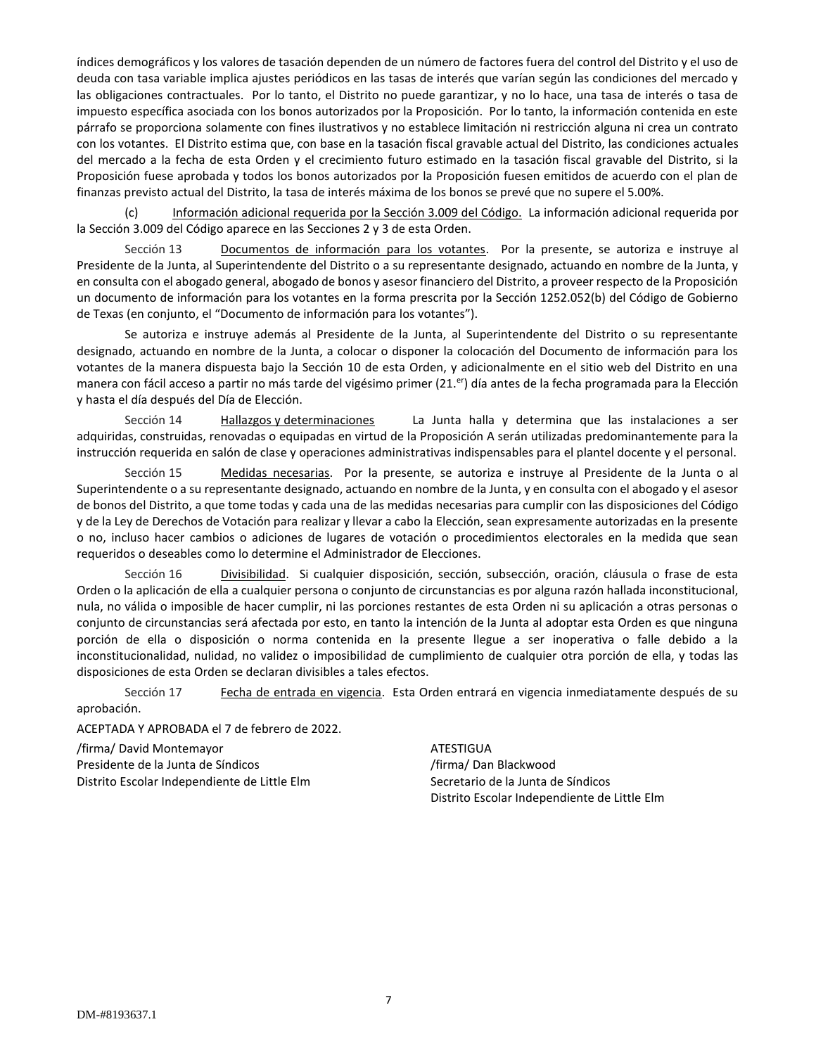índices demográficos y los valores de tasación dependen de un número de factores fuera del control del Distrito y el uso de deuda con tasa variable implica ajustes periódicos en las tasas de interés que varían según las condiciones del mercado y las obligaciones contractuales. Por lo tanto, el Distrito no puede garantizar, y no lo hace, una tasa de interés o tasa de impuesto específica asociada con los bonos autorizados por la Proposición. Por lo tanto, la información contenida en este párrafo se proporciona solamente con fines ilustrativos y no establece limitación ni restricción alguna ni crea un contrato con los votantes. El Distrito estima que, con base en la tasación fiscal gravable actual del Distrito, las condiciones actuales del mercado a la fecha de esta Orden y el crecimiento futuro estimado en la tasación fiscal gravable del Distrito, si la Proposición fuese aprobada y todos los bonos autorizados por la Proposición fuesen emitidos de acuerdo con el plan de finanzas previsto actual del Distrito, la tasa de interés máxima de los bonos se prevé que no supere el 5.00%.

(c) Información adicional requerida por la Sección 3.009 del Código. La información adicional requerida por la Sección 3.009 del Código aparece en las Secciones 2 y 3 de esta Orden.

Sección 13 Documentos de información para los votantes. Por la presente, se autoriza e instruye al Presidente de la Junta, al Superintendente del Distrito o a su representante designado, actuando en nombre de la Junta, y en consulta con el abogado general, abogado de bonos y asesor financiero del Distrito, a proveer respecto de la Proposición un documento de información para los votantes en la forma prescrita por la Sección 1252.052(b) del Código de Gobierno de Texas (en conjunto, el "Documento de información para los votantes").

Se autoriza e instruye además al Presidente de la Junta, al Superintendente del Distrito o su representante designado, actuando en nombre de la Junta, a colocar o disponer la colocación del Documento de información para los votantes de la manera dispuesta bajo la Sección 10 de esta Orden, y adicionalmente en el sitio web del Distrito en una manera con fácil acceso a partir no más tarde del vigésimo primer (21.<sup>er</sup>) día antes de la fecha programada para la Elección y hasta el día después del Día de Elección.

Sección 14 Hallazgos y determinaciones La Junta halla y determina que las instalaciones a ser adquiridas, construidas, renovadas o equipadas en virtud de la Proposición A serán utilizadas predominantemente para la instrucción requerida en salón de clase y operaciones administrativas indispensables para el plantel docente y el personal.

Sección 15 Medidas necesarias. Por la presente, se autoriza e instruye al Presidente de la Junta o al Superintendente o a su representante designado, actuando en nombre de la Junta, y en consulta con el abogado y el asesor de bonos del Distrito, a que tome todas y cada una de las medidas necesarias para cumplir con las disposiciones del Código y de la Ley de Derechos de Votación para realizar y llevar a cabo la Elección, sean expresamente autorizadas en la presente o no, incluso hacer cambios o adiciones de lugares de votación o procedimientos electorales en la medida que sean requeridos o deseables como lo determine el Administrador de Elecciones.

Sección 16 Divisibilidad. Si cualquier disposición, sección, subsección, oración, cláusula o frase de esta Orden o la aplicación de ella a cualquier persona o conjunto de circunstancias es por alguna razón hallada inconstitucional, nula, no válida o imposible de hacer cumplir, ni las porciones restantes de esta Orden ni su aplicación a otras personas o conjunto de circunstancias será afectada por esto, en tanto la intención de la Junta al adoptar esta Orden es que ninguna porción de ella o disposición o norma contenida en la presente llegue a ser inoperativa o falle debido a la inconstitucionalidad, nulidad, no validez o imposibilidad de cumplimiento de cualquier otra porción de ella, y todas las disposiciones de esta Orden se declaran divisibles a tales efectos.

Sección 17 Fecha de entrada en vigencia. Esta Orden entrará en vigencia inmediatamente después de su aprobación.

ACEPTADA Y APROBADA el 7 de febrero de 2022.

/firma/ David Montemayor ATESTIGUA Presidente de la Junta de Síndicos */firma/ Dan Blackwood* Distrito Escolar Independiente de Little Elm Secretario de la Junta de Síndicos

Distrito Escolar Independiente de Little Elm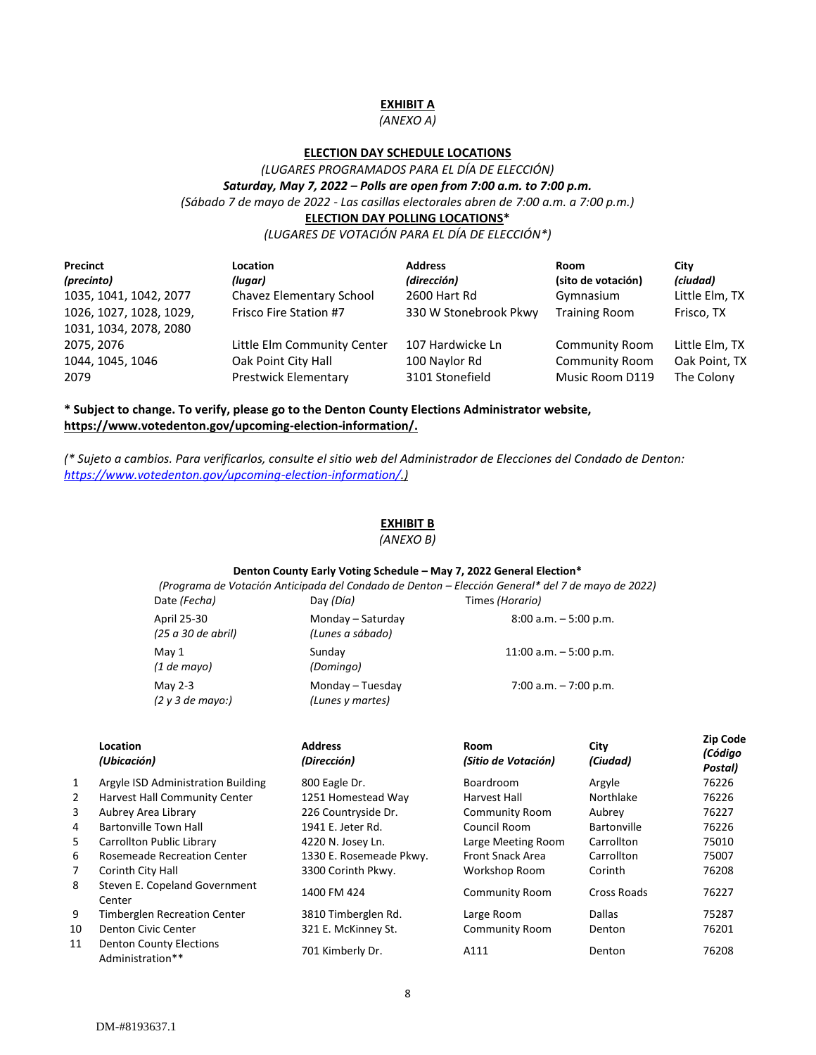## **EXHIBIT A**

## *(ANEXO A)*

## **ELECTION DAY SCHEDULE LOCATIONS**

*(LUGARES PROGRAMADOS PARA EL DÍA DE ELECCIÓN) Saturday, May 7, 2022 – Polls are open from 7:00 a.m. to 7:00 p.m. (Sábado 7 de mayo de 2022 - Las casillas electorales abren de 7:00 a.m. a 7:00 p.m.)* **ELECTION DAY POLLING LOCATIONS\***

*(LUGARES DE VOTACIÓN PARA EL DÍA DE ELECCIÓN\*)*

| Precinct<br>(precinto)  | Location<br>(lugar)         | <b>Address</b><br>(dirección) | Room<br>(sito de votación) | City<br>(ciudad) |
|-------------------------|-----------------------------|-------------------------------|----------------------------|------------------|
| 1035, 1041, 1042, 2077  | Chavez Elementary School    | 2600 Hart Rd                  | Gymnasium                  | Little Elm, TX   |
| 1026, 1027, 1028, 1029, | Frisco Fire Station #7      | 330 W Stonebrook Pkwy         | <b>Training Room</b>       | Frisco, TX       |
| 1031, 1034, 2078, 2080  |                             |                               |                            |                  |
| 2075, 2076              | Little Elm Community Center | 107 Hardwicke Ln              | <b>Community Room</b>      | Little Elm, TX   |
| 1044, 1045, 1046        | Oak Point City Hall         | 100 Naylor Rd                 | Community Room             | Oak Point, TX    |
| 2079                    | <b>Prestwick Elementary</b> | 3101 Stonefield               | Music Room D119            | The Colony       |

## **\* Subject to change. To verify, please go to the Denton County Elections Administrator website, https://www.votedenton.gov/upcoming-election-information/.**

*(\* Sujeto a cambios. Para verificarlos, consulte el sitio web del Administrador de Elecciones del Condado de Denton: [https://www.votedenton.gov/upcoming-election-information/.](https://www.votedenton.gov/upcoming-election-information/))*

#### **EXHIBIT B**

*(ANEXO B)*

#### **Denton County Early Voting Schedule – May 7, 2022 General Election\***

|                                       | (Programa de Votación Anticipada del Condado de Denton – Elección General* del 7 de mayo de 2022) |
|---------------------------------------|---------------------------------------------------------------------------------------------------|
| Day (Día)                             | Times (Horario)                                                                                   |
| Monday - Saturday<br>(Lunes a sábado) | $8:00$ a.m. $-5:00$ p.m.                                                                          |
| Sunday<br>(Domingo)                   | 11:00 a.m. $-5:00$ p.m.                                                                           |
| Monday - Tuesday<br>(Lunes y martes)  | 7:00 a.m. $-7:00$ p.m.                                                                            |
|                                       |                                                                                                   |

|              | Location<br>(Ubicación)                            | <b>Address</b><br>(Dirección) | Room<br>(Sitio de Votación) | City<br>(Ciudad) | <b>Zip Code</b><br>(Código<br>Postal) |
|--------------|----------------------------------------------------|-------------------------------|-----------------------------|------------------|---------------------------------------|
| $\mathbf{1}$ | Argyle ISD Administration Building                 | 800 Eagle Dr.                 | Boardroom                   | Argyle           | 76226                                 |
| 2            | <b>Harvest Hall Community Center</b>               | 1251 Homestead Way            | Harvest Hall                | Northlake        | 76226                                 |
| 3            | Aubrey Area Library                                | 226 Countryside Dr.           | <b>Community Room</b>       | Aubrev           | 76227                                 |
| 4            | Bartonville Town Hall                              | 1941 E. Jeter Rd.             | Council Room                | Bartonville      | 76226                                 |
| 5            | Carrollton Public Library                          | 4220 N. Josey Ln.             | Large Meeting Room          | Carrollton       | 75010                                 |
| 6            | Rosemeade Recreation Center                        | 1330 E. Rosemeade Pkwy.       | <b>Front Snack Area</b>     | Carrollton       | 75007                                 |
| 7            | Corinth City Hall                                  | 3300 Corinth Pkwy.            | Workshop Room               | Corinth          | 76208                                 |
| 8            | Steven E. Copeland Government<br>Center            | 1400 FM 424                   | <b>Community Room</b>       | Cross Roads      | 76227                                 |
| 9            | <b>Timberglen Recreation Center</b>                | 3810 Timberglen Rd.           | Large Room                  | <b>Dallas</b>    | 75287                                 |
| 10           | Denton Civic Center                                | 321 E. McKinney St.           | <b>Community Room</b>       | Denton           | 76201                                 |
| 11           | <b>Denton County Elections</b><br>Administration** | 701 Kimberly Dr.              | A111                        | Denton           | 76208                                 |